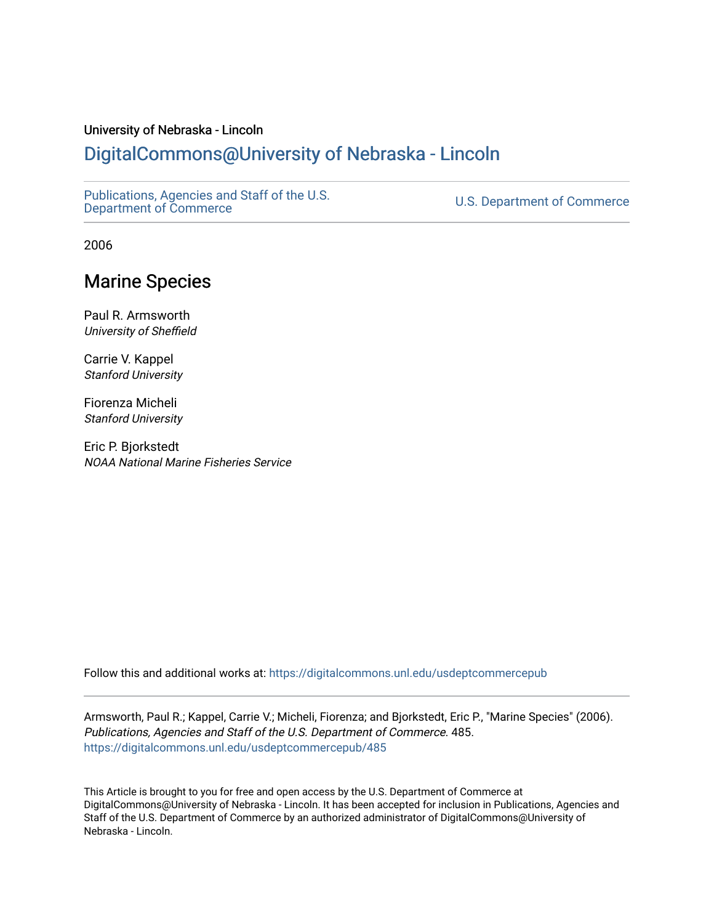#### University of Nebraska - Lincoln

# [DigitalCommons@University of Nebraska - Lincoln](https://digitalcommons.unl.edu/)

[Publications, Agencies and Staff of the U.S.](https://digitalcommons.unl.edu/usdeptcommercepub)

U.S. [Department of Commerce](https://digitalcommons.unl.edu/usdeptcommercepub)

2006

# Marine Species

Paul R. Armsworth University of Sheffield

Carrie V. Kappel Stanford University

Fiorenza Micheli Stanford University

Eric P. Bjorkstedt NOAA National Marine Fisheries Service

Follow this and additional works at: [https://digitalcommons.unl.edu/usdeptcommercepub](https://digitalcommons.unl.edu/usdeptcommercepub?utm_source=digitalcommons.unl.edu%2Fusdeptcommercepub%2F485&utm_medium=PDF&utm_campaign=PDFCoverPages)

Armsworth, Paul R.; Kappel, Carrie V.; Micheli, Fiorenza; and Bjorkstedt, Eric P., "Marine Species" (2006). Publications, Agencies and Staff of the U.S. Department of Commerce. 485. [https://digitalcommons.unl.edu/usdeptcommercepub/485](https://digitalcommons.unl.edu/usdeptcommercepub/485?utm_source=digitalcommons.unl.edu%2Fusdeptcommercepub%2F485&utm_medium=PDF&utm_campaign=PDFCoverPages) 

This Article is brought to you for free and open access by the U.S. Department of Commerce at DigitalCommons@University of Nebraska - Lincoln. It has been accepted for inclusion in Publications, Agencies and Staff of the U.S. Department of Commerce by an authorized administrator of DigitalCommons@University of Nebraska - Lincoln.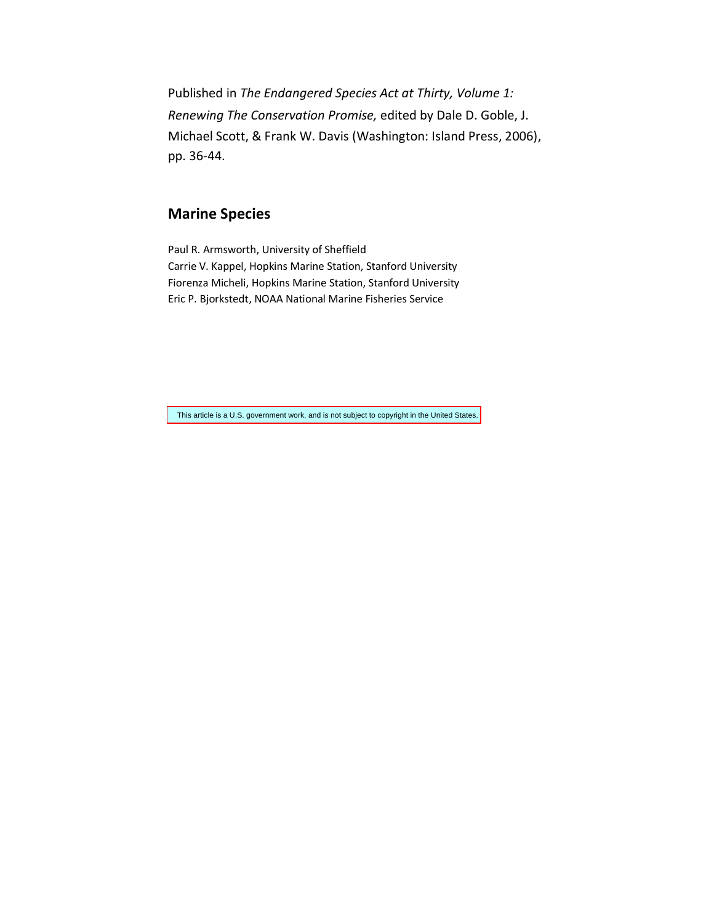Published in *The Endangered Species Act at Thirty, Volume 1: Renewing The Conservation Promise,* edited by Dale D. Goble, J. Michael Scott, & Frank W. Davis (Washington: Island Press, 2006), pp. 36-44.

## **Marine Species**

Paul R. Armsworth, University of Sheffield Carrie V. Kappel, Hopkins Marine Station, Stanford University Fiorenza Micheli, Hopkins Marine Station, Stanford University Eric P. Bjorkstedt, NOAA National Marine Fisheries Service

This article is a U.S. government work, and is not subject to copyright in the United States.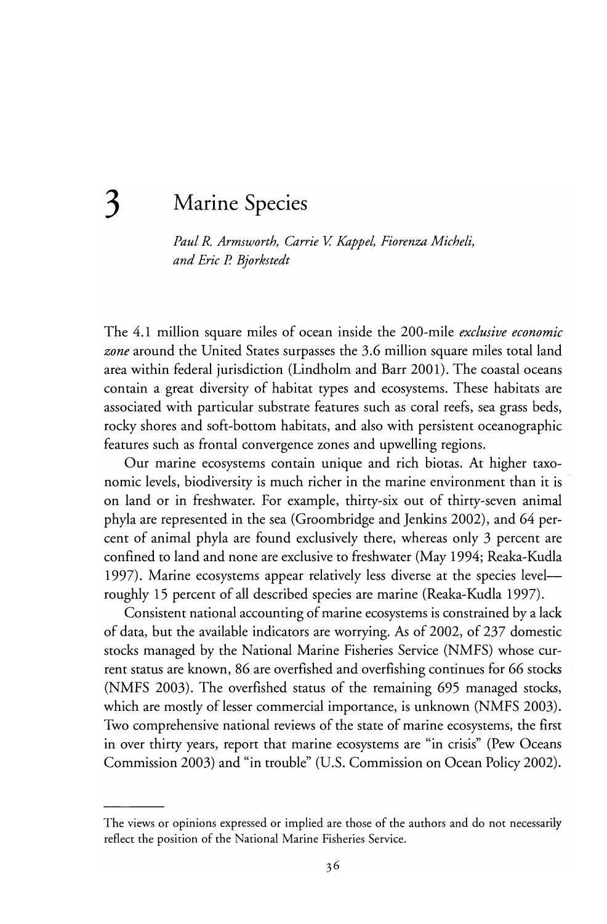# **3 Marine Species**

Paul R. Armsworth, Carrie V. Kappel, Fiorenza Micheli, *and Eric* P. *Bjorkstedt* 

The 4.1 million square miles of ocean inside the 200-mile *exclusive economic zone* around the United States surpasses the 3.6 million square miles total land area within federal jurisdiction (Lindholm and Barr 2001). The coastal oceans contain a great diversity of habitat types and ecosystems. These habitats are associated with particular substrate features such as coral reefs, sea grass beds, rocky shores and soft-bottom habitats, and also with persistent oceanographic features such as frontal convergence zones and upwelling regions.

Our marine ecosystems contain unique and rich biotas. At higher taxonomie levels, biodiversity is much richer in the marine environment than it is on land or in freshwater. For example, thirty-six out of thirty-seven animal phyla are represented in the sea (Groombridge and Jenkins 2002), and 64 percent of animal phyla are found exclusively there, whereas only 3 percent are confined to land and none are exclusive to freshwater (May 1994; Reaka-Kudla 1997). Marine ecosystems appear relatively less diverse at the species levelroughly 15 percent of all described species are marine (Reaka-Kudla 1997).

Consistent national accounting of marine ecosystems is constrained by a lack of data, but the available indicators are worrying. As of 2002, of 237 domestic stocks managed by the National Marine Fisheries Service (NMFS) whose current status are known, 86 are overfished and overfishing continues for 66 stocks (NMFS 2003). The overfished status of the remaining 695 managed stocks, which are mostly of lesser commercial importance, is unknown (NMFS 2003). Two comprehensive national reviews of the state of marine ecosystems, the first in over thirty years, report that marine ecosystems are "in crisis" (Pew Oceans Commission 2003) and "in trouble" (U.S. Commission on Ocean Policy 2002).

The views or opinions expressed or implied are those of the authors and do not necessarily reflect the position of the National Marine Fisheries Service.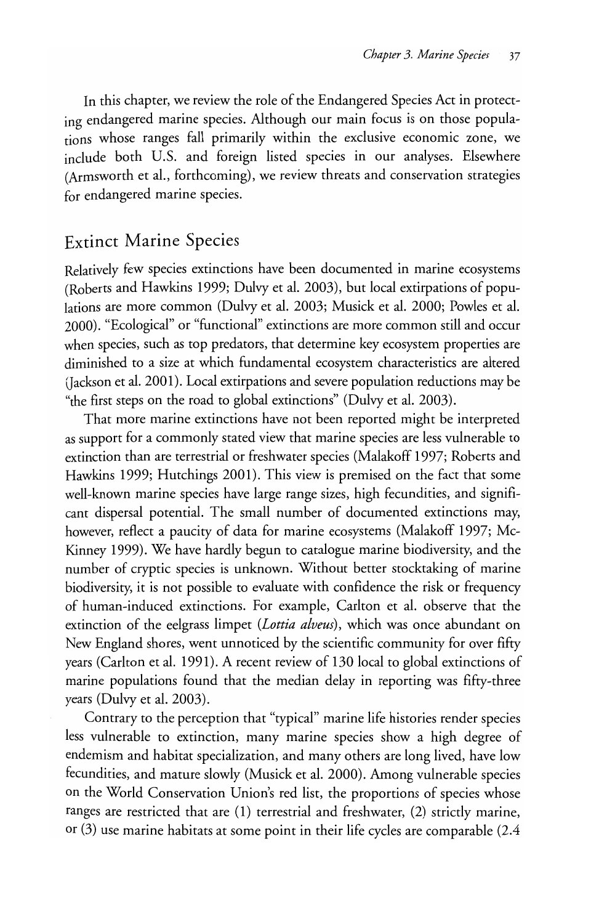In this chapter, we review the role of the Endangered Species Act in protecting endangered marine species. Although our main focus is on those populations whose ranges fall primarily within the exclusive economic zone, we include both U.S. and foreign listed species in our analyses. EIsewhere (Armsworrh et al., forrhcoming), we review threats and conservation strategies for endangered marine species.

### Extinct Marine Species

Relatively few species extinctions have been documented in marine ecosystems (Roberts and Hawkins 1999; Dulvy et al. 2003), but local extirpations of populations are more common (Dulvy et al. 2003; Musick et al. 2000; Powles et al. 2000). "Ecological" or "functional" extinctions are more common still and occur when species, such as top predators, that determine key ecosystem properties are diminished to a size at which fundamental ecosystem characteristics are altered (Jackson et al. 2001). Local extirpations and severe population reductions may be "the first steps on the road to global extinctions" (Dulvy et al. 2003).

That more marine extinctions have not been reported might be interpreted as support for a commonly stated view that marine species are less vulnerable to extinction than are terrestrial or freshwater species (Malakoff 1997; Roberts and Hawkins 1999; Hutchings 2001). This view is premised on the fact that some well-known marine species have large range sizes, high fecundities, and significant dispersal potential. The small number of documented extinctions may, however, reflect a paucity of data for marine ecosystems (Malakoff 1997; Mc-Kinney 1999). We have hardly begun to catalogue marine biodiversity, and the number of cryptic species is unknown. Without better stocktaking of marine biodiversity, it is not possible to evaluate with confidence the risk or frequency of human-induced extinctions. For example, Carlton et al. observe that the extinction of the eelgrass limpet *(Lattia alveus),* which was once abundant on New England shores, went unnoticed by the scientific community for over fifty years (Carlton et al. 1991). A recent review of 130 local to global extinctions of marine populations found that the median delay in reporting was fifty-three years (Dulvy et al. 2003).

Contrary to the perception that "typical" marine life histories render species less vulnerable to extinction, many marine species show a high degree of endemism and habitat specialization, and many others are long lived, have low fecundities, and mature slowly (Musick et al. 2000). Among vulnerable species on the World Conservation Union's red list, the proportions of species whose ranges are restricted that are (1) terrestrial and freshwater, (2) strictly marine, or (3) use marine habitats at some point in their life cycles are comparable (2.4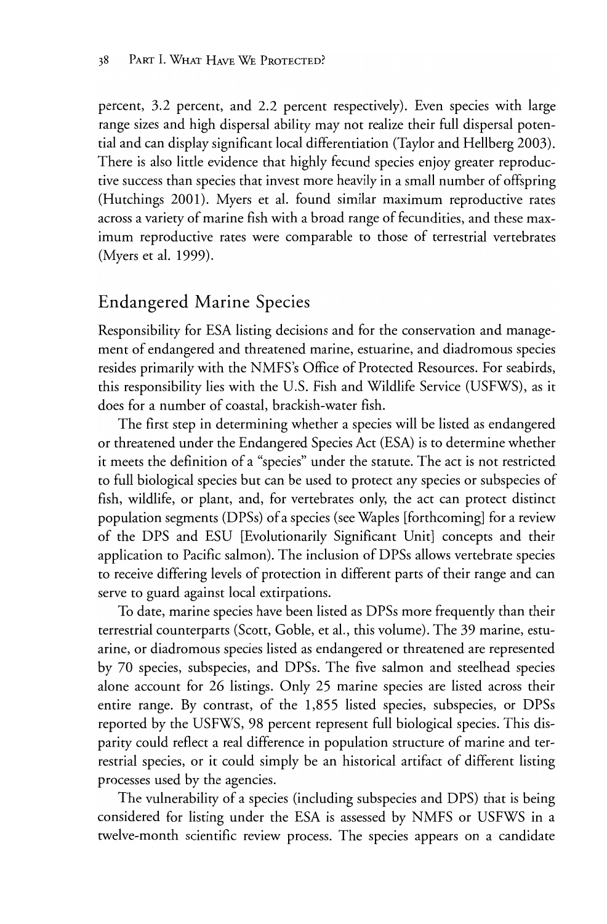percent, 3.2 percem, and 2.2 percent respectively). Even species with large range sizes and high dispersal ability may not realize their full dispersal potential and can display significant local differentiation (Taylor and Hellberg 2003). There is also little evidence that highly fecund species enjoy greater reproductive success than species that invest more heavily in a small number of offspring (Hutchings 2001). Myers et al. found similar maximum reproductive rates across a variety of marine fish with a broad range of fecundities, and these maximum reproductive rates were comparable to those of terrestrial vertebrates (Myers et al. 1999).

## Endangered Marine Species

Responsibility for ESA listing decisions and for the conservation and management of endangered and threatened marine, estuarine, and diadromous species resides primarily with the NMFS's Office of Protected Resources. For seabirds, this responsibility lies with the U.S. Fish and Wildlife Service (USFWS), as it does for a number of coastal, brackish-water fish.

The first step in determining whether a species will be listed as endangered or threatened under the Endangered Species Act (ESA) is to determine whether it meets the definition of a "species" under the statute. The act is not restricted to full biological species but can be used to protect any species or subspecies of fish, wildlife, or plant, and, for vertebrates only, the act can protect distinct population segments (DPSs) of a species (see Waples [forthcoming] for a review of the DPS and ESU [Evolutionarily Significant Unit] concepts and their application to Pacific salmon). The inclusion of DPSs allows vertebrate species to receive differing levels of protection in different parts of their range and can serve to guard against local extirpations.

To date, marine species have been listed as DPSs more frequently than their terrestrial counterparts (Scott, Goble, et al., this volume). The 39 marine, estuarine, or diadromous species listed as endangered or threatened are represented by 70 species, subspecies, and DPSs. The five salmon and steelhead species alone account for 26 listings. Only 25 marine species are listed across their entire range. By contrast, of the 1,855 listed species, subspecies, or DPSs reported by the USFWS, 98 percent represent full biological species. This disparity could reflect a real difference in population structure of marine and terrestrial species, or it could simply be an historical artifact of different listing processes used by the agencies.

The vulnerability of a species (including subspecies and DPS) that is being considered for listing under the ESA is assessed by NMFS or USFWS in a twelve-month scientific review process. The species appears on a candidate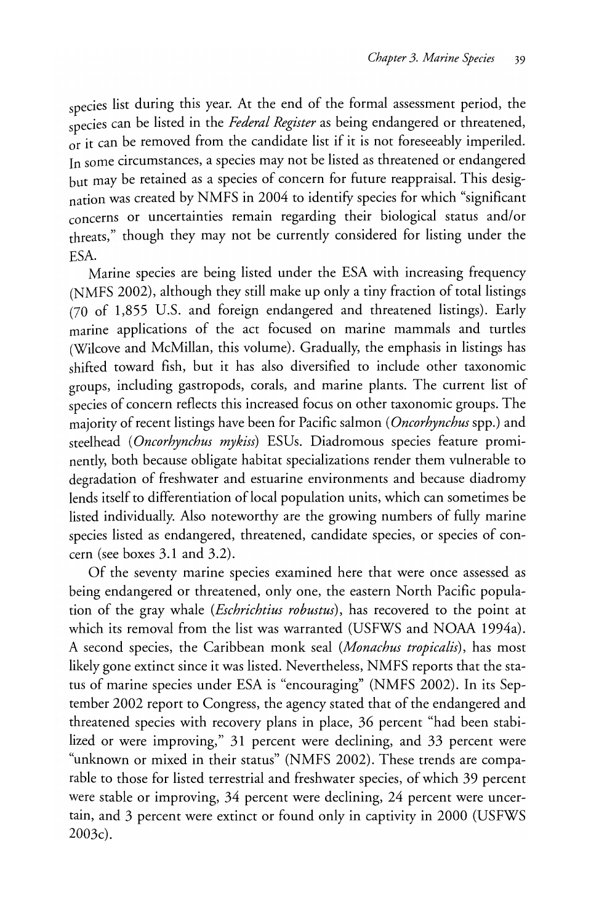species list during this year. At the end of the formal assessment period, the species can be listed in the *Federal Register* as being endangered or threatened,  $\overrightarrow{or}$  it can be removed from the candidate list if it is not foreseeably imperiled. In some circumstances, a species may not be listed as threatened or endangered but may be retained as a species of concern for future reappraisal. This designation was created by NMFS in 2004 to identify species for which "significant concerns or uncertainties remain regarding their biological status and/or threats," though they may not be currently considered for listing under the ESA.

Marine species are being listed under the ESA with increasing frequency (NMFS 2002), although they still make up only a tiny fraction of total listings (70 of 1,855 U.S. and foreign endangered and threatened listings). Early marine applications of the act focused on marine mammals and turtles (Wilcove and McMillan, this volume). Gradually, the emphasis in listings has shifted toward fish, but it has also diversified to include other taxonomic groups, including gastropods, corals, and marine plants. The current list of species of concern reflects this increased focus on other taxonomic groups. The majority of recent listings have been for Pacific salmon *(Oncorhynchus* spp.) and steelhead *(Oncorhynchus mykiss)* ESUs. Diadromous species feature prominently, both because obligate habitat specializations render them vulnerable to degradation of freshwater and estuarine environments and because diadromy lends itself to differentiation of local population units, which can sometimes be listed individually. Also noteworthy are the growing numbers of fully marine species listed as endangered, threatened, candidate species, or species of concern (see boxes 3.1 and 3.2).

Of the seventy marine species examined here that were once assessed as being endangered or threatened, only one, the eastern North Pacific population of the gray whale *(Eschrichtius robustus)*, has recovered to the point at which its removal from the list was warranted (USFWS and NOAA 1994a). A second species, the Caribbean monk seal *(Monachus tropicalis),* has most likely gone extinct since it was listed. Nevertheless, NMFS reports that the status of marine species under ESA is "encouraging" (NMFS 2002). **In** its September 2002 report to Congress, the agency stated that of the endangered and threatened species with recovery plans in place, 36 percent "had been stabilized or were improving," 31 percent were declining, and 33 percent were "unknown or mixed in their status" (NMFS 2002). These trends are comparable to those for listed terrestrial and freshwater species, of which 39 percent were stable or improving, 34 percent were declining, 24 percent were uncertain, and 3 percent were extinct or found only in captivity in 2000 (USFWS 2003c).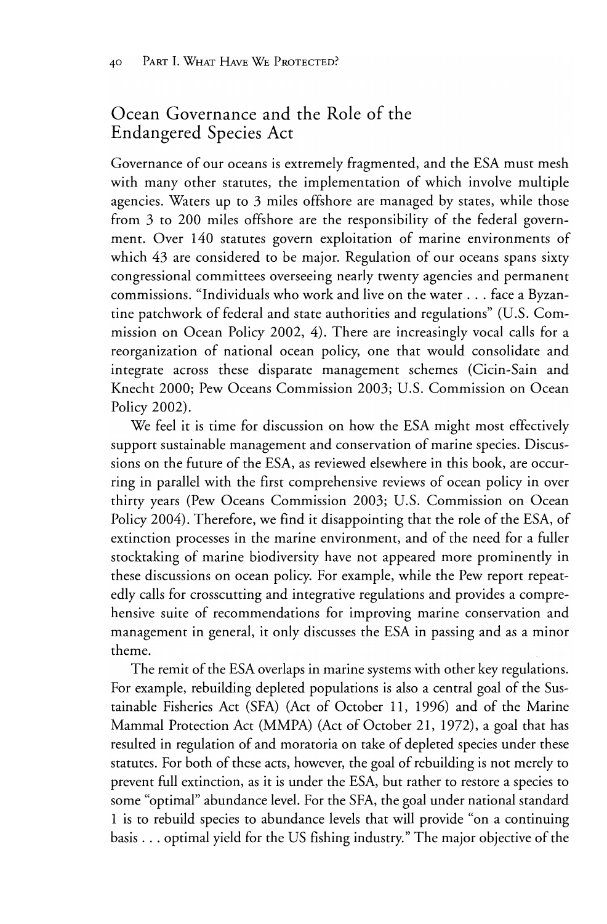## Ocean Governance and the Role of the Endangered Species Act

Governance of our oceans is extremely fragmented, and the ESA must mesh with many other statutes, the implementation of whieh involve multiple agencies. Waters up to 3 miles offshore are managed by states, while those from 3 to 200 miles offshore are the responsibility of the federal government. Over 140 statutes govern exploitation of marine environments of which 43 are considered to be major. Regulation of our oceans spans sixty eongressional eommittees overseeing nearly twenty ageneies and permanent eommissions. "Individuals who work and live on the water ... face a Byzantine patchwork of federal and state authorities and regulations" (U.S. Commission on Ocean Policy 2002, 4). There are increasingly vocal calls for a reorganization of national ocean poliey, one that would eonsolidate and integrate across these disparate management schemes (Cicin-Sain and Knecht 2000; Pew Oeeans Commission 2003; U.S. Commission on Oeean Policy 2002).

We feel it is time for discussion on how the ESA might most effectively support sustainable management and conservation of marine species. Discussions on the future of the ESA, as reviewed elsewhere in this book, are occurring in parallel with the first eomprehensive reviews of oeean poliey in over thirty years (Pew Oeeans Commission 2003; U.S. Commission on Oeean Poliey 2004). Therefore, we find it disappointing that the role of the ESA, of extinetion processes in the marine environment, and of the need for a fuller stoektaking of marine biodiversity have not appeared more prominently in these diseussions on oeean poliey. For example, while the Pew report repeatedly ealls for erosseutting and integrative regulations and provides a eomprehensive suite of recommendations for improving marine conservation and management in general, it only diseusses the ESA in passing and as a minor theme.

The remit of the ESA overlaps in marine systems with other key regulations. For example, rebuilding depleted populations is also a eentral goal of the Sustainable Fisheries Aet (SFA) (Aet of Oetober 11, 1996) and of the Marine Mammal Protection Act (MMPA) (Act of October 21, 1972), a goal that has resulted in regulation of and moratoria on take of depleted species under these statutes. For both of these aets, however, the goal of rebuilding is not merely to prevent full extinction, as it is under the ESA, but rather to restore a species to some "optimal" abundanee level. For the SFA, the goal under national standard 1 is to rebuild speeies to abundanee levels that will provide "on a continuing basis ... optimal yield for the US fishing industry." The major objeetive of the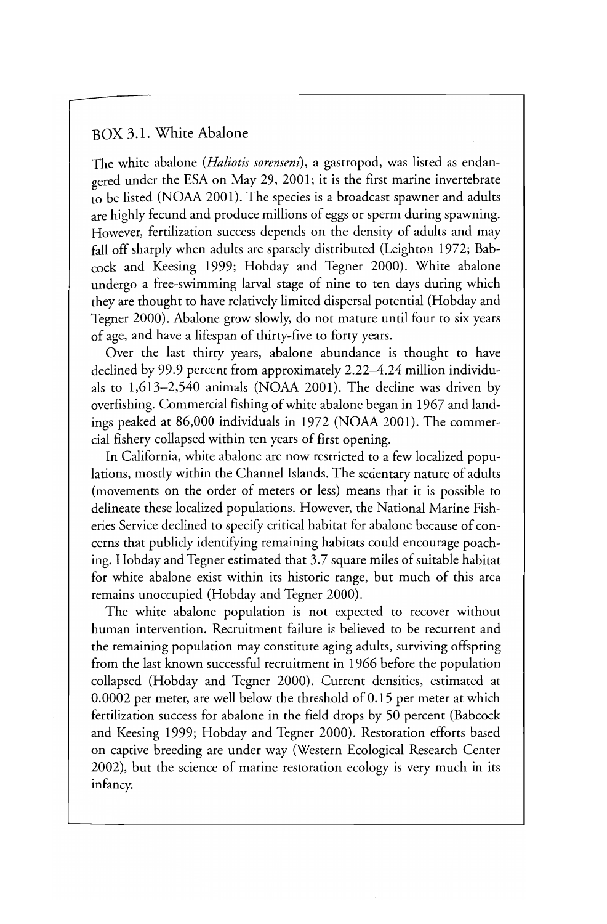#### BOX 3.1. White Abalone

The white abalone *(Haliotis sorenseni),* a gastropod, was listed as endangered under the ESA on May 29, 2001; it is the first marine invertebrate to be listed (NOAA 2001). The species is a broadcast spawner and adults are highly fecund and produce millions of eggs or sperm during spawning. However, fertilization success depends on the density of adults and may fall off sharply when adults are sparsely distributed (Leighton 1972; Babcock and Keesing 1999; Hobday and Tegner 2000). White abalone undergo a free-swimming larval stage of nine to ten days during which they are thought to have relatively limited dispersal potential (Hobday and Tegner 2000). Abalone grow slowly, do not mature until four to six years of age, and have a lifespan of thirty-five to forty years.

Over the last thirty years, abalone abundance is thought to have declined by 99.9 percent from approximately 2.22–4.24 million individuals to 1,613-2,540 animals (NOAA 2001). The decline was driven by overfishing. Commercial fishing of white abalone began in 1967 and landings peaked at 86,000 individuals in 1972 (NOAA 2001). The commercial fishery collapsed within ten years of first opening.

In California, white abalone are now restricted to a few localized populations, mostly within the Channel Islands. The sedentary nature of adults (movements on the order of meters or less) means that it is possible to delineate these localized populations. However, the National Marine Fisheries Service declined to specify critical habitat for abalone because of concerns that publicly identifying remaining habitats could encourage poaching. Hobday and Tegner estimated that 3.7 square miles of suitable habitat for white abalone exist within its historie range, but much of this area remains unoccupied (Hobday and Tegner 2000).

The white abalone population is not expected to recover without human intervention. Recruitment failure is believed to be recurrent and the remaining population may constitute aging adults, surviving offspring from the last known successful recruitment in 1966 before the population collapsed (Hobday and Tegner 2000). Current densities, estimated at 0.0002 per meter, are well below the threshold of 0.15 per meter at which fertilization success for abalone in the field drops by 50 percent (Babcock and Keesing 1999; Hobday and Tegner 2000). Restoration efforts based on captive breeding are under way (Western Ecological Research Center 2002), but the science of marine restoration ecology is very much in its infancy.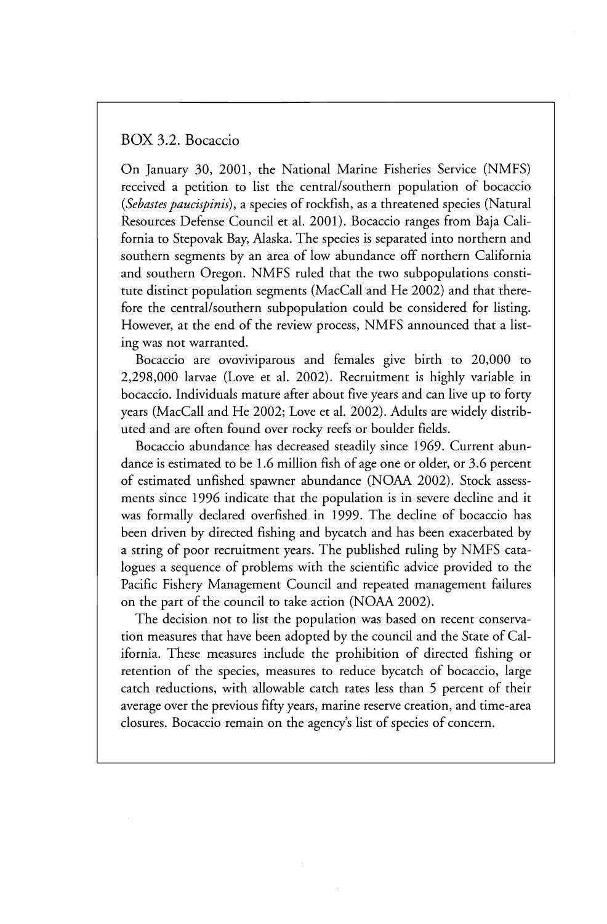#### BOX 3.2. Bocaccio

On January 30, 2001, the National Marine Fisheries Service (NMFS) received a petition to list the central/southern population of bocaccio *(Sebastes paucispinis),* a species of rockfish, as a threatened species (Natural Resources Defense Council et al. 2001). Bocaccio ranges from Baja California to Stepovak Bay, Alaska. The species is separated into northern and southern segments by an area of low abundance off northern California and southern Oregon. NMFS ruled that the two subpopulations constitute distinct population segments (MacCall and He 2002) and that therefore the central/southern subpopulation could be considered for listing. However, at the end of the review process, NMFS announced that a listing was not warranted.

Bocaccio are ovoviviparous and females give birth to 20,000 to 2,298,000 larvae (Love et al. 2002). Recruitment is highly variable in bocaccio. Individuals mature after about five years and can live up to forty years (MacCall and He 2002; Love et al. 2002). Adults are widely distributed and are often found over rocky reefs or boulder fields.

Bocaccio abundance has decreased steadily since 1969. Current abundance is estimated to be 1.6 million fish of age one or older, or 3.6 percent of estimated unfished spawner abundance (NOAA 2002). Stock assessments since 1996 indicate that the population is in severe decline and it was formally declared overfished in 1999. The decline of bocaccio has been driven by directed fishing and bycatch and has been exacerbated by a string of poor recruitment years. The published ruling by NMFS catalogues a sequence of problems with the scientific advice provided to the Pacific Fishery Management Council and repeated management failures on the part of the council to take action (NOAA 2002).

The decision not to list the population was based on recent conservation measures that have been adopted by the council and the State of California. These measures include the prohibition of directed fishing or retention of the species, measures to reduce bycatch of bocaccio, large catch reductions, with allowable catch rates less than 5 percent of their average over the previous fifty years, marine reserve creation, and time-area closures. Bocaccio remain on the agency's list of species of concern.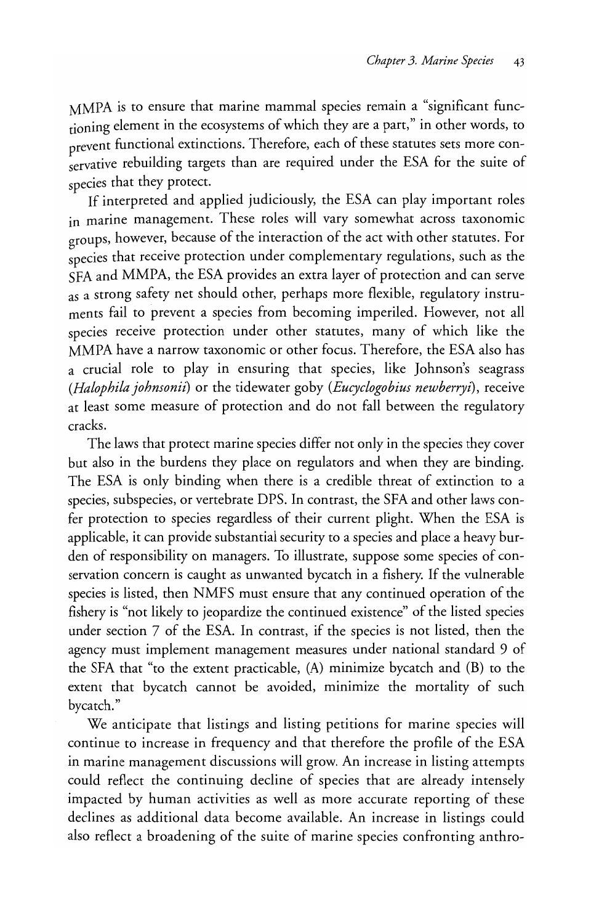MMPA is to ensure that marine mammal species remain a "significant functioning element in the ecosystems of which they are a part," in other words, to prevent functional extinctions. Therefore, each of these statutes sets more conservative rebuilding targets than are required under the ESA for the suite of species that they protect.

If interpreted and applied judiciously, the ESA can play important roles in marine management. These roles will vary somewhat across taxonomie groupS, however, because of the interaction of the act with other statutes. For species that receive protection under complementary regulations, such as the SFA and MMPA, the ESA provides an extra layer of protection and can serve as a strong safety net should other, perhaps more flexible, regulatory instruments fail to prevent a species from becoming imperiled. However, not all species receive protection under other statutes, many of which like the MMPA have a narrow taxonomie or other focus. Therefore, the ESA also has a crucial role to play in ensuring that species, like Johnson's seagrass *(Halophila johnsonii)* or the tidewater goby *(Eucyclogobius newberryi),* receive at least some measure of protection and do not fall between the regulatory cracks.

The laws that protect marine species differ not only in the species they cover but also in the burdens they place on regulators and when they are binding. The ESA is only binding when there is a credible threat of extinction to a species, subspecies, or vertebrate DPS. In contrast, the SFA and other laws confer protection to species regardless of their current plight. When the ESA is applicable, it can provide substantial security to a species and place a heavy burden of responsibility on managers. To illustrate, suppose some species of conservation concern is caught as unwanted bycatch in a fishery. If the vulnerable species is listed, then NMFS must ensure that any continued operation of the fishery is "not likely to jeopardize the continued existence" of the listed species under section 7 of the ESA. In contrast, if the species is not listed, then the agency must implement management measures under national standard 9 of the SFA that "to the extent practicable, (A) minimize bycatch and (B) to the extent that bycatch cannot be avoided, minimize the mortality of such bycatch."

We anticipate that listings and listing petitions for marine species will continue to increase in frequency and that therefore the profile of the ESA in marine management discussions will grow. An increase in listing attempts could reflect the continuing decline of species that are already intensely impacted by human activities as well as more accurate reporting of these declines as additional data become available. An increase in listings could also reflect a broadening of the suite of marine species confronting anthro